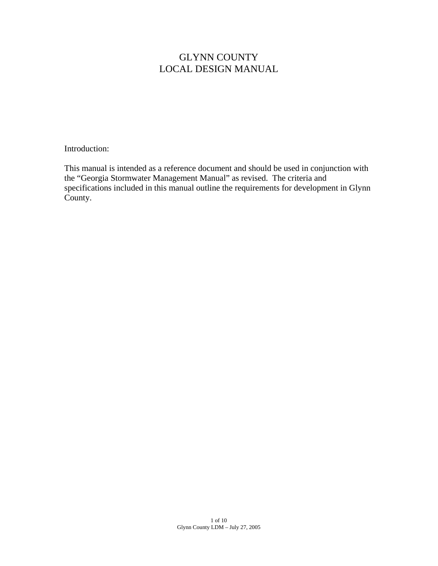## GLYNN COUNTY LOCAL DESIGN MANUAL

Introduction:

This manual is intended as a reference document and should be used in conjunction with the "Georgia Stormwater Management Manual" as revised. The criteria and specifications included in this manual outline the requirements for development in Glynn County.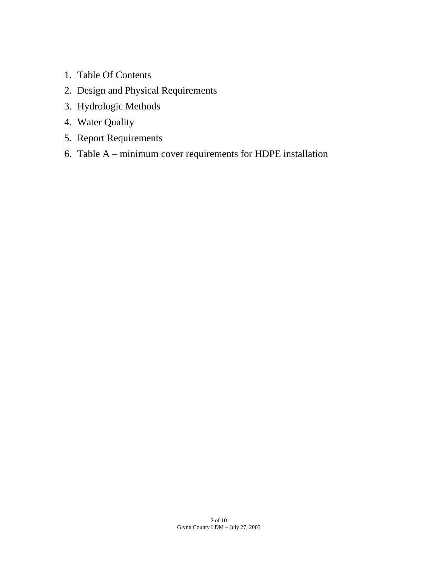- 1. Table Of Contents
- 2. Design and Physical Requirements
- 3. Hydrologic Methods
- 4. Water Quality
- 5. Report Requirements
- 6. Table A minimum cover requirements for HDPE installation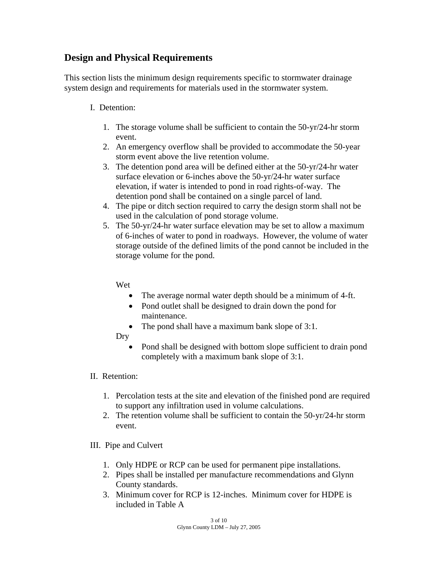## **Design and Physical Requirements**

This section lists the minimum design requirements specific to stormwater drainage system design and requirements for materials used in the stormwater system.

## I. Detention:

- 1. The storage volume shall be sufficient to contain the 50-yr/24-hr storm event.
- 2. An emergency overflow shall be provided to accommodate the 50-year storm event above the live retention volume.
- 3. The detention pond area will be defined either at the 50-yr/24-hr water surface elevation or 6-inches above the 50-yr/24-hr water surface elevation, if water is intended to pond in road rights-of-way. The detention pond shall be contained on a single parcel of land.
- 4. The pipe or ditch section required to carry the design storm shall not be used in the calculation of pond storage volume.
- 5. The 50-yr/24-hr water surface elevation may be set to allow a maximum of 6-inches of water to pond in roadways. However, the volume of water storage outside of the defined limits of the pond cannot be included in the storage volume for the pond.

Wet

- The average normal water depth should be a minimum of 4-ft.
- Pond outlet shall be designed to drain down the pond for maintenance.
- The pond shall have a maximum bank slope of 3:1.
- Dry
	- Pond shall be designed with bottom slope sufficient to drain pond completely with a maximum bank slope of 3:1.

## II. Retention:

- 1. Percolation tests at the site and elevation of the finished pond are required to support any infiltration used in volume calculations.
- 2. The retention volume shall be sufficient to contain the 50-yr/24-hr storm event.

## III. Pipe and Culvert

- 1. Only HDPE or RCP can be used for permanent pipe installations.
- 2. Pipes shall be installed per manufacture recommendations and Glynn County standards.
- 3. Minimum cover for RCP is 12-inches. Minimum cover for HDPE is included in Table A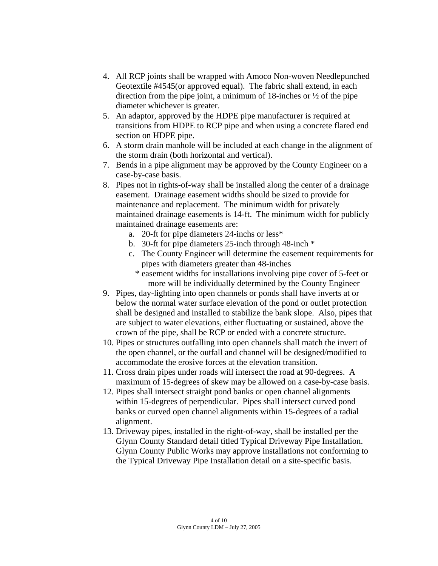- 4. All RCP joints shall be wrapped with Amoco Non-woven Needlepunched Geotextile #4545(or approved equal). The fabric shall extend, in each direction from the pipe joint, a minimum of 18-inches or ½ of the pipe diameter whichever is greater.
- 5. An adaptor, approved by the HDPE pipe manufacturer is required at transitions from HDPE to RCP pipe and when using a concrete flared end section on HDPE pipe.
- 6. A storm drain manhole will be included at each change in the alignment of the storm drain (both horizontal and vertical).
- 7. Bends in a pipe alignment may be approved by the County Engineer on a case-by-case basis.
- 8. Pipes not in rights-of-way shall be installed along the center of a drainage easement. Drainage easement widths should be sized to provide for maintenance and replacement. The minimum width for privately maintained drainage easements is 14-ft. The minimum width for publicly maintained drainage easements are:
	- a. 20-ft for pipe diameters 24-inchs or less\*
	- b. 30-ft for pipe diameters 25-inch through 48-inch \*
	- c. The County Engineer will determine the easement requirements for pipes with diameters greater than 48-inches
		- \* easement widths for installations involving pipe cover of 5-feet or more will be individually determined by the County Engineer
- 9. Pipes, day-lighting into open channels or ponds shall have inverts at or below the normal water surface elevation of the pond or outlet protection shall be designed and installed to stabilize the bank slope. Also, pipes that are subject to water elevations, either fluctuating or sustained, above the crown of the pipe, shall be RCP or ended with a concrete structure.
- 10. Pipes or structures outfalling into open channels shall match the invert of the open channel, or the outfall and channel will be designed/modified to accommodate the erosive forces at the elevation transition.
- 11. Cross drain pipes under roads will intersect the road at 90-degrees. A maximum of 15-degrees of skew may be allowed on a case-by-case basis.
- 12. Pipes shall intersect straight pond banks or open channel alignments within 15-degrees of perpendicular. Pipes shall intersect curved pond banks or curved open channel alignments within 15-degrees of a radial alignment.
- 13. Driveway pipes, installed in the right-of-way, shall be installed per the Glynn County Standard detail titled Typical Driveway Pipe Installation. Glynn County Public Works may approve installations not conforming to the Typical Driveway Pipe Installation detail on a site-specific basis.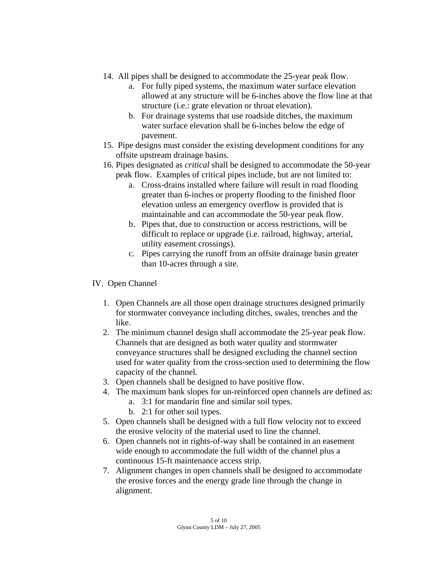- 14. All pipes shall be designed to accommodate the 25-year peak flow.
	- a. For fully piped systems, the maximum water surface elevation allowed at any structure will be 6-inches above the flow line at that structure (i.e.: grate elevation or throat elevation).
	- b. For drainage systems that use roadside ditches, the maximum water surface elevation shall be 6-inches below the edge of pavement.
- 15. Pipe designs must consider the existing development conditions for any offsite upstream drainage basins.
- 16. Pipes designated as *critical* shall be designed to accommodate the 50-year peak flow. Examples of critical pipes include, but are not limited to:
	- a. Cross-drains installed where failure will result in road flooding greater than 6-inches or property flooding to the finished floor elevation unless an emergency overflow is provided that is maintainable and can accommodate the 50-year peak flow.
	- b. Pipes that, due to construction or access restrictions, will be difficult to replace or upgrade (i.e. railroad, highway, arterial, utility easement crossings).
	- c. Pipes carrying the runoff from an offsite drainage basin greater than 10-acres through a site.

## IV. Open Channel

- 1. Open Channels are all those open drainage structures designed primarily for stormwater conveyance including ditches, swales, trenches and the like.
- 2. The minimum channel design shall accommodate the 25-year peak flow. Channels that are designed as both water quality and stormwater conveyance structures shall be designed excluding the channel section used for water quality from the cross-section used to determining the flow capacity of the channel.
- 3. Open channels shall be designed to have positive flow.
- 4. The maximum bank slopes for un-reinforced open channels are defined as:
	- a. 3:1 for mandarin fine and similar soil types.
	- b. 2:1 for other soil types.
- 5. Open channels shall be designed with a full flow velocity not to exceed the erosive velocity of the material used to line the channel.
- 6. Open channels not in rights-of-way shall be contained in an easement wide enough to accommodate the full width of the channel plus a continuous 15-ft maintenance access strip.
- 7. Alignment changes in open channels shall be designed to accommodate the erosive forces and the energy grade line through the change in alignment.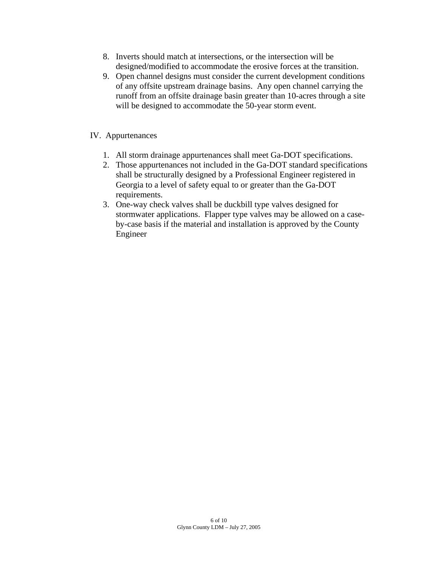- 8. Inverts should match at intersections, or the intersection will be designed/modified to accommodate the erosive forces at the transition.
- 9. Open channel designs must consider the current development conditions of any offsite upstream drainage basins. Any open channel carrying the runoff from an offsite drainage basin greater than 10-acres through a site will be designed to accommodate the 50-year storm event.

## IV. Appurtenances

- 1. All storm drainage appurtenances shall meet Ga-DOT specifications.
- 2. Those appurtenances not included in the Ga-DOT standard specifications shall be structurally designed by a Professional Engineer registered in Georgia to a level of safety equal to or greater than the Ga-DOT requirements.
- 3. One-way check valves shall be duckbill type valves designed for stormwater applications. Flapper type valves may be allowed on a caseby-case basis if the material and installation is approved by the County Engineer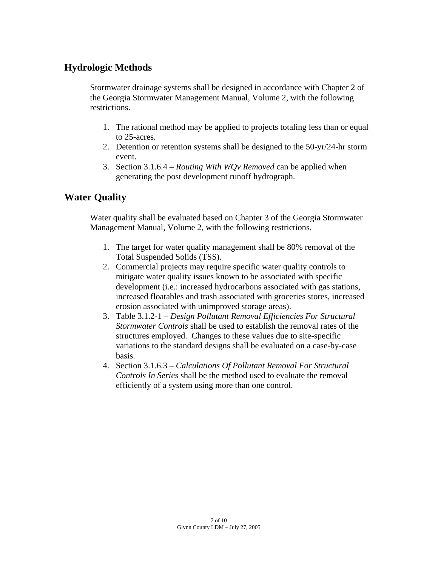## **Hydrologic Methods**

Stormwater drainage systems shall be designed in accordance with Chapter 2 of the Georgia Stormwater Management Manual, Volume 2, with the following restrictions.

- 1. The rational method may be applied to projects totaling less than or equal to 25-acres.
- 2. Detention or retention systems shall be designed to the 50-yr/24-hr storm event.
- 3. Section 3.1.6.4 *Routing With WQv Removed* can be applied when generating the post development runoff hydrograph.

## **Water Quality**

Water quality shall be evaluated based on Chapter 3 of the Georgia Stormwater Management Manual, Volume 2, with the following restrictions.

- 1. The target for water quality management shall be 80% removal of the Total Suspended Solids (TSS).
- 2. Commercial projects may require specific water quality controls to mitigate water quality issues known to be associated with specific development (i.e.: increased hydrocarbons associated with gas stations, increased floatables and trash associated with groceries stores, increased erosion associated with unimproved storage areas).
- 3. Table 3.1.2-1 *Design Pollutant Removal Efficiencies For Structural Stormwater Controls* shall be used to establish the removal rates of the structures employed. Changes to these values due to site-specific variations to the standard designs shall be evaluated on a case-by-case basis.
- 4. Section 3.1.6.3 *Calculations Of Pollutant Removal For Structural Controls In Series* shall be the method used to evaluate the removal efficiently of a system using more than one control.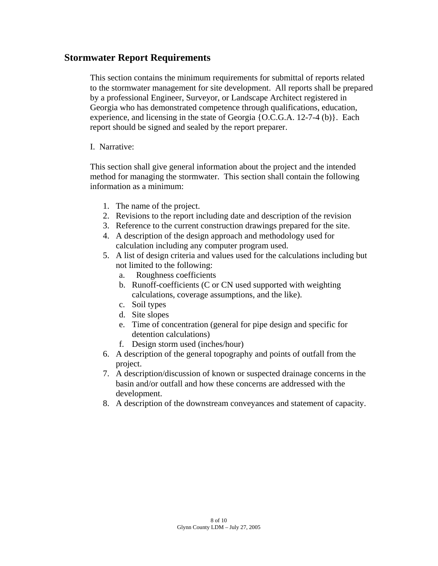## **Stormwater Report Requirements**

This section contains the minimum requirements for submittal of reports related to the stormwater management for site development. All reports shall be prepared by a professional Engineer, Surveyor, or Landscape Architect registered in Georgia who has demonstrated competence through qualifications, education, experience, and licensing in the state of Georgia {O.C.G.A. 12-7-4 (b)}. Each report should be signed and sealed by the report preparer.

## I. Narrative:

This section shall give general information about the project and the intended method for managing the stormwater. This section shall contain the following information as a minimum:

- 1. The name of the project.
- 2. Revisions to the report including date and description of the revision
- 3. Reference to the current construction drawings prepared for the site.
- 4. A description of the design approach and methodology used for calculation including any computer program used.
- 5. A list of design criteria and values used for the calculations including but not limited to the following:
	- a. Roughness coefficients
	- b. Runoff-coefficients (C or CN used supported with weighting calculations, coverage assumptions, and the like).
	- c. Soil types
	- d. Site slopes
	- e. Time of concentration (general for pipe design and specific for detention calculations)
	- f. Design storm used (inches/hour)
- 6. A description of the general topography and points of outfall from the project.
- 7. A description/discussion of known or suspected drainage concerns in the basin and/or outfall and how these concerns are addressed with the development.
- 8. A description of the downstream conveyances and statement of capacity.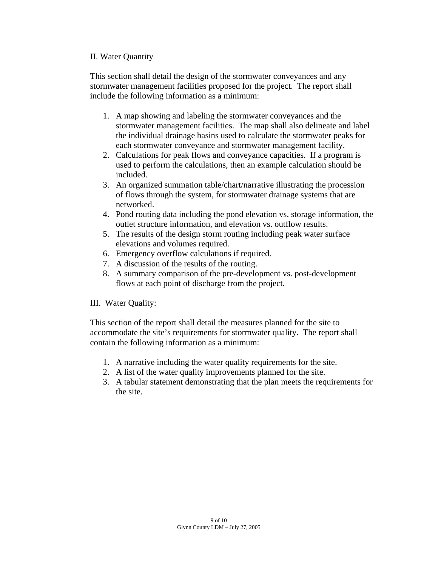#### II. Water Quantity

This section shall detail the design of the stormwater conveyances and any stormwater management facilities proposed for the project. The report shall include the following information as a minimum:

- 1. A map showing and labeling the stormwater conveyances and the stormwater management facilities. The map shall also delineate and label the individual drainage basins used to calculate the stormwater peaks for each stormwater conveyance and stormwater management facility.
- 2. Calculations for peak flows and conveyance capacities. If a program is used to perform the calculations, then an example calculation should be included.
- 3. An organized summation table/chart/narrative illustrating the procession of flows through the system, for stormwater drainage systems that are networked.
- 4. Pond routing data including the pond elevation vs. storage information, the outlet structure information, and elevation vs. outflow results.
- 5. The results of the design storm routing including peak water surface elevations and volumes required.
- 6. Emergency overflow calculations if required.
- 7. A discussion of the results of the routing.
- 8. A summary comparison of the pre-development vs. post-development flows at each point of discharge from the project.

III. Water Quality:

This section of the report shall detail the measures planned for the site to accommodate the site's requirements for stormwater quality. The report shall contain the following information as a minimum:

- 1. A narrative including the water quality requirements for the site.
- 2. A list of the water quality improvements planned for the site.
- 3. A tabular statement demonstrating that the plan meets the requirements for the site.